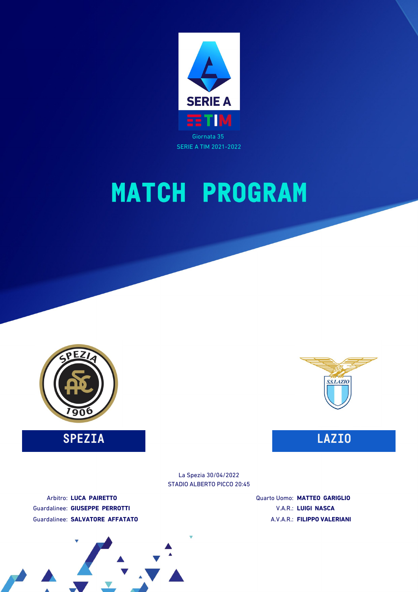



**SPEZIA LAZIO**



STADIO ALBERTO PICCO 20:45 La Spezia 30/04/2022

Arbitro: **LUCA PAIRETTO** Guardalinee: **GIUSEPPE PERROTTI** Guardalinee: **SALVATORE AFFATATO** Quarto Uomo: **MATTEO GARIGLIO** V.A.R.: **LUIGI NASCA** A.V.A.R.: **FILIPPO VALERIANI**

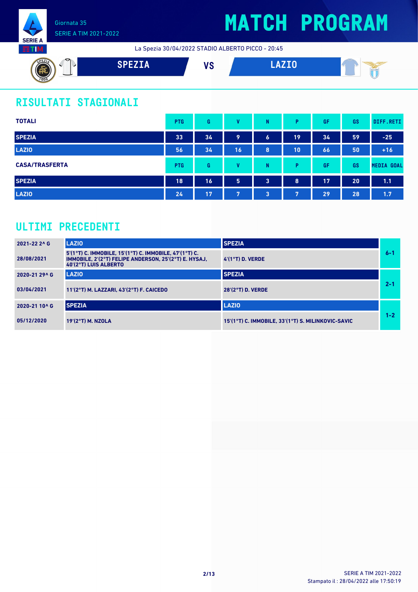

# **MATCH PROGRAM**

La Spezia 30/04/2022 STADIO ALBERTO PICCO - 20:45



## **RISULTATI STAGIONALI**

| <b>TOTALI</b>         | <b>PTG</b> | G  | v  | N                | P  | GF | GS | DIFF.RETI         |
|-----------------------|------------|----|----|------------------|----|----|----|-------------------|
| <b>SPEZIA</b>         | 33         | 34 | 9  | $\boldsymbol{6}$ | 19 | 34 | 59 | $-25$             |
| <b>LAZIO</b>          | 56         | 34 | 16 | 8                | 10 | 66 | 50 | $+16$             |
| <b>CASA/TRASFERTA</b> | <b>PTG</b> | G  | M  | N                | P  | GF | GS | <b>MEDIA GOAL</b> |
| <b>SPEZIA</b>         | 18         | 16 | 5  | 3                | 8  | 17 | 20 | 1.1               |
| <b>LAZIO</b>          | 24         | 17 | 7  | 3                | 7  | 29 | 28 | 1.7               |

### **ULTIMI PRECEDENTI**

| 2021-22 2^ G  | LAZIO                                                                                                                                    | <b>SPEZIA</b>                                      |         |
|---------------|------------------------------------------------------------------------------------------------------------------------------------------|----------------------------------------------------|---------|
| 28/08/2021    | 5'(1°T) C. IMMOBILE, 15'(1°T) C. IMMOBILE, 47'(1°T) C.<br>IMMOBILE, 2'(2°T) FELIPE ANDERSON, 25'(2°T) E. HYSAJ,<br>40'(2°T) LUIS ALBERTO | $4'(1°T)$ D. VERDE                                 | $6 - 1$ |
| 2020-21 29^ G | <b>LAZIO</b>                                                                                                                             | <b>SPEZIA</b>                                      |         |
| 03/04/2021    | 11'(2°T) M. LAZZARI, 43'(2°T) F. CAICEDO                                                                                                 | $28'(2°T)$ D. VERDE                                | $2 - 1$ |
| 2020-21 10^ G | <b>SPEZIA</b>                                                                                                                            | <b>LAZIO</b>                                       |         |
| 05/12/2020    | 19'(2°T) M. NZOLA                                                                                                                        | 15'(1°T) C. IMMOBILE, 33'(1°T) S. MILINKOVIC-SAVIC | $1 - 2$ |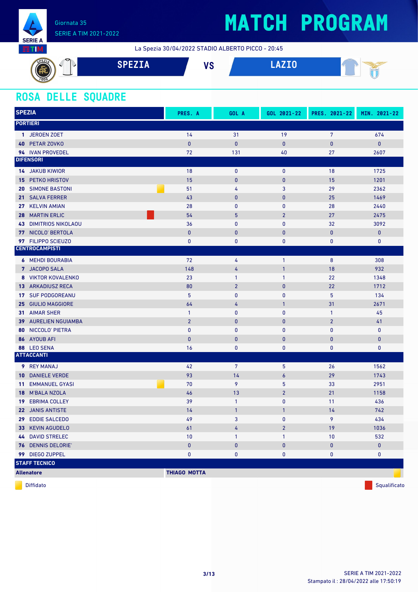

# **MATCH PROGRAM**

La Spezia 30/04/2022 STADIO ALBERTO PICCO - 20:45



### **ROSA DELLE SQUADRE**

| <b>SPEZIA</b>                             | PRES. A             | GOL A           | GOL 2021-22    | PRES. 2021-22  | MIN. 2021-22 |
|-------------------------------------------|---------------------|-----------------|----------------|----------------|--------------|
| <b>PORTIERI</b>                           |                     |                 |                |                |              |
| 1 JEROEN ZOET                             | 14                  | 31              | 19             | $\overline{7}$ | 674          |
| PETAR ZOVKO<br>40                         | $\pmb{0}$           | $\mathbf{0}$    | $\pmb{0}$      | $\bf{0}$       | $\mathbf{0}$ |
| 94 IVAN PROVEDEL                          | 72                  | 131             | 40             | 27             | 2607         |
| <b>DIFENSORI</b>                          |                     |                 |                |                |              |
| <b>14 JAKUB KIWIOR</b>                    | 18                  | $\mathbf 0$     | $\mathbf 0$    | 18             | 1725         |
| PETKO HRISTOV<br>15                       | 15                  | $\pmb{0}$       | $\pmb{0}$      | 15             | 1201         |
| <b>SIMONE BASTONI</b><br>20               | 51                  | 4               | 3              | 29             | 2362         |
| <b>SALVA FERRER</b><br>21                 | 43                  | $\mathbf{0}$    | $\pmb{0}$      | 25             | 1469         |
| <b>KELVIN AMIAN</b><br>27                 | 28                  | $\mathbf{0}$    | 0              | 28             | 2440         |
| <b>MARTIN ERLIC</b><br>28                 | 54                  | $5\phantom{.0}$ | $\overline{2}$ | 27             | 2475         |
| <b>DIMITRIOS NIKOLAOU</b><br>43           | 36                  | $\mathbf{0}$    | 0              | 32             | 3092         |
| NICOLO' BERTOLA<br>77                     | $\mathbf{0}$        | $\bf{0}$        | $\bf{0}$       | $\pmb{0}$      | $\pmb{0}$    |
| 97 FILIPPO SCIEUZO                        | $\bf{0}$            | $\pmb{0}$       | 0              | 0              | 0            |
| <b>CENTROCAMPISTI</b>                     |                     |                 |                |                |              |
| <b>6 MEHDI BOURABIA</b>                   | 72                  | 4               | $\mathbf{1}$   | $\bf 8$        | 308          |
| 7 JACOPO SALA                             | 148                 | 4               | $\mathbf{1}$   | 18             | 932          |
| <b>VIKTOR KOVALENKO</b><br>8              | 23                  | $\mathbf{1}$    | 1              | 22             | 1348         |
| <b>13 ARKADIUSZ RECA</b>                  | 80                  | $\overline{2}$  | $\pmb{0}$      | 22             | 1712         |
| <b>SUF PODGOREANU</b><br>17 <sup>17</sup> | 5                   | $\mathbf 0$     | 0              | 5              | 134          |
| <b>GIULIO MAGGIORE</b><br>25              | 64                  | 4               | $\mathbf{1}$   | 31             | 2671         |
| <b>AIMAR SHER</b><br>31                   | $\mathbf{1}$        | $\mathbf 0$     | 0              | $\mathbf{1}$   | 45           |
| <b>AURELIEN NGUIAMBA</b><br>39            | $\overline{2}$      | $\mathbf{0}$    | $\bf{0}$       | $\overline{2}$ | 41           |
| NICCOLO' PIETRA<br>80                     | $\mathbf{0}$        | $\mathbf{0}$    | 0              | $\mathbf{0}$   | $\mathbf 0$  |
| 86 AYOUB AFI                              | $\mathbf{0}$        | $\mathbf{0}$    | $\bf{0}$       | 0              | $\pmb{0}$    |
| 88 LEO SENA                               | 16                  | $\mathbf{0}$    | 0              | 0              | 0            |
| <b>ATTACCANTI</b>                         |                     |                 |                |                |              |
| 9 REY MANAJ                               | 42                  | 7               | 5              | 26             | 1562         |
| <b>DANIELE VERDE</b><br>10                | 93                  | 14              | 6              | 29             | 1743         |
| <b>EMMANUEL GYASI</b><br>11               | 70                  | 9               | 5              | 33             | 2951         |
| <b>M'BALA NZOLA</b><br>18                 | 46                  | 13              | $\overline{2}$ | 21             | 1158         |
| <b>EBRIMA COLLEY</b><br>19                | 39                  | $\mathbf{1}$    | 0              | 11             | 436          |
| 22 JANIS ANTISTE                          | 14                  | $\mathbf{1}$    | 1              | 14             | 742          |
| 29 EDDIE SALCEDO                          | 49                  | 3               | $\mathbf{0}$   | 9              | 434          |
| 33 KEVIN AGUDELO                          | 61                  | 4               | $\overline{2}$ | 19             | 1036         |
| <b>44 DAVID STRELEC</b>                   | $10$                | $\mathbf{1}$    | $\mathbf{1}$   | 10             | 532          |
| 76 DENNIS DELORIE'                        | $\pmb{0}$           | $\pmb{0}$       | $\pmb{0}$      | $\pmb{0}$      | $\pmb{0}$    |
| 99 DIEGO ZUPPEL                           | $\pmb{0}$           | $\pmb{0}$       | 0              | 0              | 0            |
| <b>STAFF TECNICO</b>                      |                     |                 |                |                |              |
| <b>Allenatore</b>                         | <b>THIAGO MOTTA</b> |                 |                |                |              |

diffidato de la contradictivitativa de la contradictivitativa de la contradictivitativa de la contradictivitativ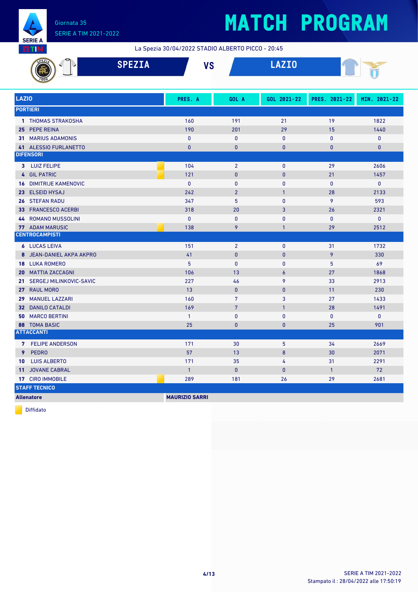

La Spezia 30/04/2022 STADIO ALBERTO PICCO - 20:45

| 33 L M<br>La Spezia 30/04/2022 STADIO ALBERTO PICCO - 20:45 |                               |               |                       |                 |              |               |              |  |
|-------------------------------------------------------------|-------------------------------|---------------|-----------------------|-----------------|--------------|---------------|--------------|--|
|                                                             |                               | <b>SPEZIA</b> | <b>VS</b>             |                 | <b>LAZIO</b> |               |              |  |
| <b>LAZIO</b>                                                |                               |               | PRES. A               | GOL A           | GOL 2021-22  | PRES. 2021-22 | MIN. 2021-22 |  |
|                                                             | <b>PORTIERI</b>               |               |                       |                 |              |               |              |  |
|                                                             | 1 THOMAS STRAKOSHA            |               | 160                   | 191             | 21           | 19            | 1822         |  |
|                                                             | 25 PEPE REINA                 |               | 190                   | 201             | 29           | 15            | 1440         |  |
|                                                             | <b>31 MARIUS ADAMONIS</b>     |               | $\mathbf{0}$          | $\mathbf{0}$    | $\mathbf{0}$ | $\mathbf{0}$  | $\pmb{0}$    |  |
|                                                             | 41 ALESSIO FURLANETTO         |               | $\mathbf{0}$          | $\mathbf{0}$    | $\mathbf{0}$ | $\mathbf{0}$  | $\mathbf{0}$ |  |
|                                                             | <b>DIFENSORI</b>              |               |                       |                 |              |               |              |  |
|                                                             | 3 LUIZ FELIPE                 |               | 104                   | $\overline{2}$  | $\mathbf 0$  | 29            | 2606         |  |
|                                                             | 4 GIL PATRIC                  |               | 121                   | $\mathbf{0}$    | $\mathbf{0}$ | 21            | 1457         |  |
|                                                             | <b>16 DIMITRIJE KAMENOVIC</b> |               | $\mathbf{0}$          | $\mathbf{0}$    | $\mathbf{0}$ | $\mathbf{0}$  | $\pmb{0}$    |  |
|                                                             | 23 ELSEID HYSAJ               |               | 242                   | $\overline{2}$  | $\mathbf{1}$ | 28            | 2133         |  |
|                                                             | 26 STEFAN RADU                |               | 347                   | 5               | 0            | 9             | 593          |  |
|                                                             | <b>33 FRANCESCO ACERBI</b>    |               | 318                   | 20              | 3            | 26            | 2321         |  |
|                                                             | 44 ROMANO MUSSOLINI           |               | $\mathbf 0$           | $\bf{0}$        | 0            | $\mathbf{0}$  | $\pmb{0}$    |  |
|                                                             | <b>77 ADAM MARUSIC</b>        |               | 138                   | 9               | $\mathbf{1}$ | 29            | 2512         |  |
|                                                             | <b>CENTROCAMPISTI</b>         |               |                       |                 |              |               |              |  |
|                                                             | <b>6</b> LUCAS LEIVA          |               | 151                   | $\overline{2}$  | $\mathbf{0}$ | 31            | 1732         |  |
|                                                             | 8 JEAN-DANIEL AKPA AKPRO      |               | 41                    | $\pmb{0}$       | $\mathbf 0$  | 9             | 330          |  |
|                                                             | <b>18 LUKA ROMERO</b>         |               | 5                     | $\mathbf{0}$    | $\mathbf{0}$ | 5             | 69           |  |
|                                                             | <b>20 MATTIA ZACCAGNI</b>     |               | 106                   | 13              | $\epsilon$   | 27            | 1868         |  |
|                                                             | 21 SERGEJ MILINKOVIC-SAVIC    |               | 227                   | 46              | 9            | 33            | 2913         |  |
|                                                             | 27 RAUL MORO                  |               | 13                    | $\mathbf{0}$    | $\mathbf{0}$ | 11            | 230          |  |
|                                                             | 29 MANUEL LAZZARI             |               | 160                   | 7               | 3            | 27            | 1433         |  |
|                                                             | <b>32 DANILO CATALDI</b>      |               | 169                   | $7\phantom{.0}$ | $\mathbf{1}$ | 28            | 1491         |  |
|                                                             | <b>50 MARCO BERTINI</b>       |               | $\mathbf{1}$          | $\mathbf{0}$    | $\mathbf{0}$ | $\mathbf{0}$  | $\mathbf 0$  |  |
|                                                             | <b>88 TOMA BASIC</b>          |               | 25                    | $\mathbf{0}$    | $\pmb{0}$    | 25            | 901          |  |
|                                                             | <b>ATTACCANTI</b>             |               |                       |                 |              |               |              |  |
|                                                             | 7 FELIPE ANDERSON             |               | 171                   | 30              | 5            | 34            | 2669         |  |
| 9                                                           | <b>PEDRO</b>                  |               | 57                    | 13              | 8            | 30            | 2071         |  |
| 10                                                          | <b>LUIS ALBERTO</b>           |               | 171                   | 35              | 4            | 31            | 2291         |  |
|                                                             | 11 JOVANE CABRAL              |               | $\overline{1}$        | $\mathbf{0}$    | 0            | $\mathbf{1}$  | 72           |  |
|                                                             | 17 CIRO IMMOBILE              |               | 289                   | 181             | 26           | 29            | 2681         |  |
|                                                             | <b>STAFF TECNICO</b>          |               |                       |                 |              |               |              |  |
|                                                             | <b>Allenatore</b>             |               | <b>MAURIZIO SARRI</b> |                 |              |               |              |  |

Diffidato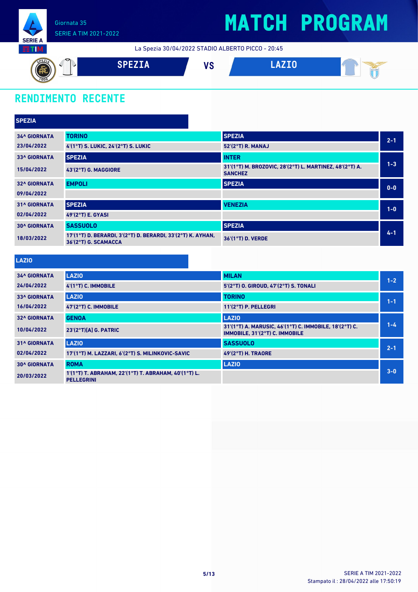

La Spezia 30/04/2022 STADIO ALBERTO PICCO - 20:45



## **RENDIMENTO RECENTE**

| <b>SPEZIA</b>       |                                                                                     |                                                                           |         |
|---------------------|-------------------------------------------------------------------------------------|---------------------------------------------------------------------------|---------|
| <b>34^ GIORNATA</b> | <b>TORINO</b>                                                                       | <b>SPEZIA</b>                                                             | $2 - 1$ |
| 23/04/2022          | 4'(1°T) S. LUKIC, 24'(2°T) S. LUKIC                                                 | 52'(2°T) R. MANAJ                                                         |         |
| <b>33^ GIORNATA</b> | <b>SPEZIA</b>                                                                       | <b>INTER</b>                                                              |         |
| 15/04/2022          | 43'(2°T) G. MAGGIORE                                                                | 31'(1°T) M. BROZOVIC, 28'(2°T) L. MARTINEZ, 48'(2°T) A.<br><b>SANCHEZ</b> | $1 - 3$ |
| <b>32^ GIORNATA</b> | <b>EMPOLI</b>                                                                       | <b>SPEZIA</b>                                                             | $0 - 0$ |
| 09/04/2022          |                                                                                     |                                                                           |         |
| <b>31^ GIORNATA</b> | <b>SPEZIA</b>                                                                       | <b>VENEZIA</b>                                                            | $1-0$   |
| 02/04/2022          | 49'(2°T) E. GYASI                                                                   |                                                                           |         |
| <b>30^ GIORNATA</b> | <b>SASSUOLO</b>                                                                     | <b>SPEZIA</b>                                                             |         |
| 18/03/2022          | 17'(1°T) D. BERARDI, 3'(2°T) D. BERARDI, 33'(2°T) K. AYHAN,<br>36'(2°T) G. SCAMACCA | 36'(1°T) D. VERDE                                                         | $4 - 1$ |
|                     |                                                                                     |                                                                           |         |
| <b>LAZIO</b>        |                                                                                     |                                                                           |         |
| <b>34^ GIORNATA</b> | <b>LAZIO</b>                                                                        | <b>MILAN</b>                                                              | $1 - 2$ |
| 24/04/2022          | 4'(1°T) C. IMMOBILE                                                                 | 5'(2°T) O. GIROUD, 47'(2°T) S. TONALI                                     |         |
| <b>22A CIODMATA</b> | 1.4710                                                                              | <b>TODING</b>                                                             |         |

| <b>33^ GIORNATA</b> | <b>LAZIO</b>                                                              | <b>TORINO</b>                                                                            | $1 - 1$ |
|---------------------|---------------------------------------------------------------------------|------------------------------------------------------------------------------------------|---------|
| 16/04/2022          | 47'(2°T) C. IMMOBILE                                                      | $11'(2°T)$ P. PELLEGRI                                                                   |         |
| <b>32^ GIORNATA</b> | <b>GENOA</b>                                                              | <b>LAZIO</b>                                                                             |         |
| 10/04/2022          | $23'(2°T)[A]$ G. PATRIC                                                   | 31'(1°T) A. MARUSIC, 46'(1°T) C. IMMOBILE, 18'(2°T) C.<br>IMMOBILE, 31'(2°T) C. IMMOBILE | $1 - 4$ |
| <b>31^ GIORNATA</b> | <b>LAZIO</b>                                                              | <b>SASSUOLO</b>                                                                          | $2 - 1$ |
| 02/04/2022          | 17'(1°T) M. LAZZARI, 6'(2°T) S. MILINKOVIC-SAVIC                          | <b>49'(2°T) H. TRAORE</b>                                                                |         |
| <b>30^ GIORNATA</b> | <b>ROMA</b>                                                               | <b>LAZIO</b>                                                                             |         |
| 20/03/2022          | 1'(1°T) T. ABRAHAM, 22'(1°T) T. ABRAHAM, 40'(1°T) L.<br><b>PELLEGRINI</b> |                                                                                          | $3 - 0$ |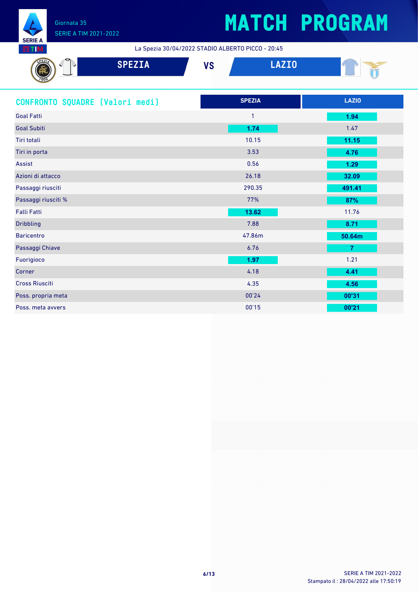

# **MATCH PROGRAM**

La Spezia 30/04/2022 STADIO ALBERTO PICCO - 20:45

| $\mathbf{A} = \mathbf{A}$<br>استعمالها المناسب |  |
|------------------------------------------------|--|
|                                                |  |

| CONFRONTO SQUADRE [Valori medi] | <b>SPEZIA</b> | <b>LAZIO</b>   |
|---------------------------------|---------------|----------------|
| <b>Goal Fatti</b>               | $\mathbf{1}$  | 1.94           |
| <b>Goal Subiti</b>              | 1.74          | 1.47           |
| Tiri totali                     | 10.15         | 11.15          |
| Tiri in porta                   | 3.53          | 4.76           |
| Assist                          | 0.56          | 1.29           |
| Azioni di attacco               | 26.18         | 32.09          |
| Passaggi riusciti               | 290.35        | 491.41         |
| Passaggi riusciti %             | 77%           | 87%            |
| <b>Falli Fatti</b>              | 13.62         | 11.76          |
| <b>Dribbling</b>                | 7.88          | 8.71           |
| <b>Baricentro</b>               | 47.86m        | 50.64m         |
| Passaggi Chiave                 | 6.76          | $\overline{7}$ |
| Fuorigioco                      | 1.97          | 1.21           |
| Corner                          | 4.18          | 4.41           |
| <b>Cross Riusciti</b>           | 4.35          | 4.56           |
| Poss. propria meta              | 00'24         | 00'31          |
| Poss. meta avvers               | 00'15         | 00'21          |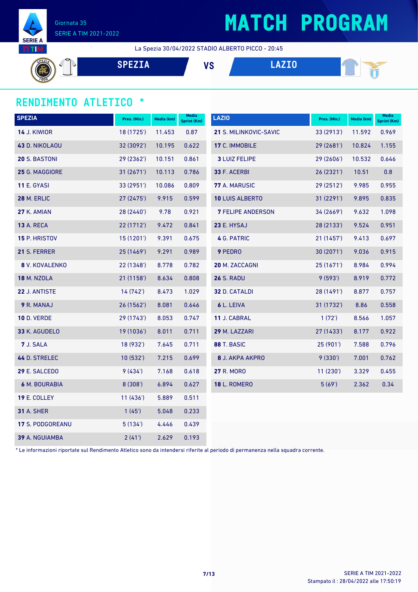

# **MATCH PROGRAM**

La Spezia 30/04/2022 STADIO ALBERTO PICCO - 20:45

**SPEZIA VS LAZIO**

### **RENDIMENTO ATLETICO \***

| <b>SPEZIA</b>           | Pres. (Min.) | Media (km) | Media<br><b>Sprint (Km)</b> | <b>LAZIO</b>             | Pres. (Min.) | Media (km) | <b>Media</b><br>Sprint (Km) |
|-------------------------|--------------|------------|-----------------------------|--------------------------|--------------|------------|-----------------------------|
| <b>14 J. KIWIOR</b>     | 18 (1725')   | 11.453     | 0.87                        | 21 S. MILINKOVIC-SAVIC   | 33 (2913')   | 11.592     | 0.969                       |
| 43 D. NIKOLAOU          | 32 (3092')   | 10.195     | 0.622                       | 17 C. IMMOBILE           | 29 (2681')   | 10.824     | 1.155                       |
| 20 S. BASTONI           | 29 (2362')   | 10.151     | 0.861                       | <b>3 LUIZ FELIPE</b>     | 29 (2606')   | 10.532     | 0.646                       |
| 25 G. MAGGIORE          | 31 (2671')   | 10.113     | 0.786                       | 33 F. ACERBI             | 26 (2321')   | 10.51      | 0.8                         |
| <b>11 E. GYASI</b>      | 33(2951)     | 10.086     | 0.809                       | 77 A. MARUSIC            | 29 (2512')   | 9.985      | 0.955                       |
| <b>28 M. ERLIC</b>      | 27 (2475')   | 9.915      | 0.599                       | <b>10 LUIS ALBERTO</b>   | 31(2291)     | 9.895      | 0.835                       |
| 27 K. AMIAN             | 28 (2440')   | 9.78       | 0.921                       | <b>7 FELIPE ANDERSON</b> | 34(2669)     | 9.632      | 1.098                       |
| <b>13 A. RECA</b>       | 22 (1712')   | 9.472      | 0.841                       | 23 E. HYSAJ              | 28 (2133')   | 9.524      | 0.951                       |
| 15 P. HRISTOV           | 15 (1201')   | 9.391      | 0.675                       | 4 G. PATRIC              | 21(1457)     | 9.413      | 0.697                       |
| 21 S. FERRER            | 25 (1469')   | 9.291      | 0.989                       | 9 PEDRO                  | 30(2071)     | 9.036      | 0.915                       |
| 8 V. KOVALENKO          | 22 (1348')   | 8.778      | 0.782                       | 20 M. ZACCAGNI           | 25 (1671')   | 8.984      | 0.994                       |
| <b>18 M. NZOLA</b>      | 21 (1158')   | 8.634      | 0.808                       | <b>26 S. RADU</b>        | 9(593)       | 8.919      | 0.772                       |
| 22 J. ANTISTE           | 14 (742')    | 8.473      | 1.029                       | 32 D. CATALDI            | 28 (1491')   | 8.877      | 0.757                       |
| 9 R. MANAJ              | 26 (1562')   | 8.081      | 0.646                       | 6 L. LEIVA               | 31 (1732')   | 8.86       | 0.558                       |
| <b>10 D. VERDE</b>      | 29 (1743')   | 8.053      | 0.747                       | 11 J. CABRAL             | 1(72)        | 8.566      | 1.057                       |
| 33 K. AGUDELO           | 19 (1036')   | 8.011      | 0.711                       | 29 M. LAZZARI            | 27 (1433')   | 8.177      | 0.922                       |
| 7 J. SALA               | 18 (932')    | 7.645      | 0.711                       | 88 T. BASIC              | 25(901)      | 7.588      | 0.796                       |
| 44 D. STRELEC           | 10 (532')    | 7.215      | 0.699                       | 8 J. AKPA AKPRO          | 9(330')      | 7.001      | 0.762                       |
| 29 E. SALCEDO           | 9(434)       | 7.168      | 0.618                       | <b>27 R. MORO</b>        | 11(230')     | 3.329      | 0.455                       |
| 6 M. BOURABIA           | 8 (308')     | 6.894      | 0.627                       | <b>18 L. ROMERO</b>      | 5(69)        | 2.362      | 0.34                        |
| 19 E. COLLEY            | 11(436)      | 5.889      | 0.511                       |                          |              |            |                             |
| <b>31 A. SHER</b>       | 1(45)        | 5.048      | 0.233                       |                          |              |            |                             |
| <b>17 S. PODGOREANU</b> | 5(134)       | 4.446      | 0.439                       |                          |              |            |                             |
| <b>39 A. NGUIAMBA</b>   | 2(41)        | 2.629      | 0.193                       |                          |              |            |                             |

\* Le informazioni riportate sul Rendimento Atletico sono da intendersi riferite al periodo di permanenza nella squadra corrente.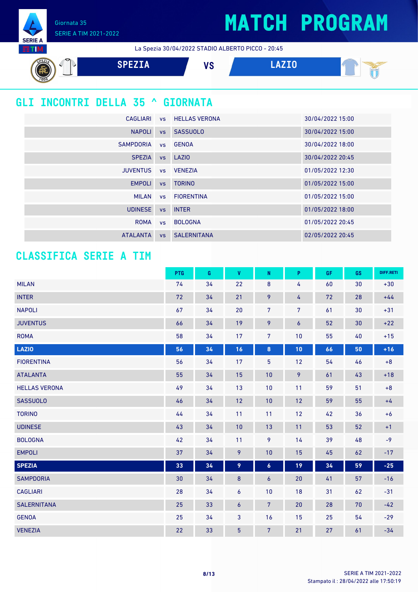Giornata 35 SERIE A TIM 2021-2022

**SERIE A ETIM** 

La Spezia 30/04/2022 STADIO ALBERTO PICCO - 20:45



## **GLI INCONTRI DELLA 35 ^ GIORNATA**

|                     | CAGLIARI VS HELLAS VERONA | 30/04/2022 15:00 |
|---------------------|---------------------------|------------------|
| <b>NAPOLI</b>       | vs SASSUOLO               | 30/04/2022 15:00 |
| SAMPDORIA vs GENOA  |                           | 30/04/2022 18:00 |
| <b>SPEZIA</b>       | vs LAZIO                  | 30/04/2022 20:45 |
| JUVENTUS vs VENEZIA |                           | 01/05/2022 12:30 |
| <b>EMPOLI</b>       | vs TORINO                 | 01/05/2022 15:00 |
|                     | MILAN vs FIORENTINA       | 01/05/2022 15:00 |
| UDINESE vs INTER    |                           | 01/05/2022 18:00 |
|                     | ROMA vs BOLOGNA           | 01/05/2022 20:45 |
| <b>ATALANTA</b>     | <b>vs</b> SALERNITANA     | 02/05/2022 20:45 |

### **CLASSIFICA SERIE A TIM**

|                      | PTG | G  | $\pmb{\mathsf{V}}$ | ${\sf N}$        | P  | GF | GS | DIFF.RETI |
|----------------------|-----|----|--------------------|------------------|----|----|----|-----------|
| <b>MILAN</b>         | 74  | 34 | 22                 | 8                | 4  | 60 | 30 | $+30$     |
| <b>INTER</b>         | 72  | 34 | 21                 | 9                | 4  | 72 | 28 | $+44$     |
| <b>NAPOLI</b>        | 67  | 34 | 20                 | 7                | 7  | 61 | 30 | $+31$     |
| <b>JUVENTUS</b>      | 66  | 34 | 19                 | 9                | 6  | 52 | 30 | $+22$     |
| <b>ROMA</b>          | 58  | 34 | 17                 | $7\overline{ }$  | 10 | 55 | 40 | $+15$     |
| <b>LAZIO</b>         | 56  | 34 | 16                 | 8                | 10 | 66 | 50 | $+16$     |
| <b>FIORENTINA</b>    | 56  | 34 | 17                 | $\overline{5}$   | 12 | 54 | 46 | $\bf +8$  |
| <b>ATALANTA</b>      | 55  | 34 | 15                 | 10               | 9  | 61 | 43 | $+18$     |
| <b>HELLAS VERONA</b> | 49  | 34 | 13                 | 10               | 11 | 59 | 51 | $\bf +8$  |
| <b>SASSUOLO</b>      | 46  | 34 | 12                 | 10               | 12 | 59 | 55 | $+4$      |
| <b>TORINO</b>        | 44  | 34 | 11                 | 11               | 12 | 42 | 36 | $+6$      |
| <b>UDINESE</b>       | 43  | 34 | 10                 | 13               | 11 | 53 | 52 | $+1$      |
| <b>BOLOGNA</b>       | 42  | 34 | 11                 | 9                | 14 | 39 | 48 | $-9$      |
| <b>EMPOLI</b>        | 37  | 34 | 9                  | 10               | 15 | 45 | 62 | $-17$     |
| <b>SPEZIA</b>        | 33  | 34 | 9                  | $\boldsymbol{6}$ | 19 | 34 | 59 | $-25$     |
| <b>SAMPDORIA</b>     | 30  | 34 | $\bf 8$            | 6                | 20 | 41 | 57 | $-16$     |
| <b>CAGLIARI</b>      | 28  | 34 | 6                  | 10               | 18 | 31 | 62 | $-31$     |
| <b>SALERNITANA</b>   | 25  | 33 | 6                  | $\overline{7}$   | 20 | 28 | 70 | $-42$     |
| <b>GENOA</b>         | 25  | 34 | 3                  | 16               | 15 | 25 | 54 | $-29$     |
| <b>VENEZIA</b>       | 22  | 33 | $\overline{5}$     | $\overline{7}$   | 21 | 27 | 61 | $-34$     |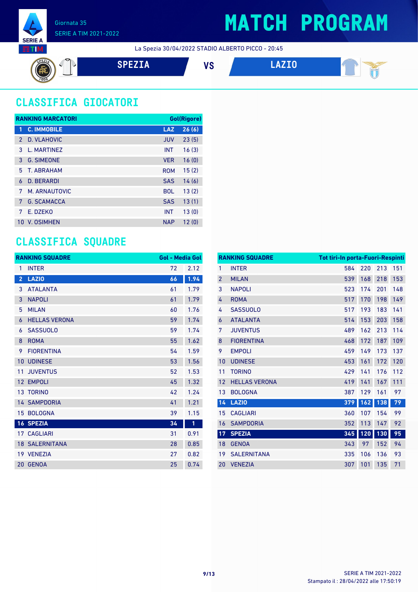

La Spezia 30/04/2022 STADIO ALBERTO PICCO - 20:45



## **CLASSIFICA GIOCATORI**

|               | <b>RANKING MARCATORI</b> |            | Gol(Rigore) |
|---------------|--------------------------|------------|-------------|
| 1             | <b>C. IMMOBILE</b>       | <b>LAZ</b> | 26(6)       |
| $\mathcal{P}$ | D. VLAHOVIC              | <b>JUV</b> | 23(5)       |
| 3             | <b>I. MARTINFZ</b>       | <b>INT</b> | 16(3)       |
| 3             | <b>G. SIMEONE</b>        | <b>VER</b> | 16(0)       |
| 5             | T. ARRAHAM               | <b>ROM</b> | 15(2)       |
| 6             | <b>D. BERARDI</b>        | <b>SAS</b> | 14(6)       |
| 7             | M. ARNAUTOVIC            | <b>BOL</b> | 13(2)       |
| 7             | <b>G. SCAMACCA</b>       | <b>SAS</b> | 13(1)       |
| 7             | E. DZEKO                 | <b>INT</b> | 13(0)       |
| 10            | V. OSIMHEN               | <b>NAP</b> | 12(0)       |

### **CLASSIFICA SQUADRE**

|                         | <b>RANKING SQUADRE</b> | <b>Gol - Media Gol</b> |      |
|-------------------------|------------------------|------------------------|------|
| 1                       | <b>INTER</b>           | 72                     | 2.12 |
| $\overline{\mathbf{c}}$ | <b>LAZIO</b>           | 66                     | 1.94 |
| 3                       | <b>ATALANTA</b>        | 61                     | 1.79 |
| 3                       | <b>NAPOLI</b>          | 61                     | 1.79 |
| 5                       | <b>MILAN</b>           | 60                     | 1.76 |
| 6                       | <b>HELLAS VERONA</b>   | 59                     | 1.74 |
| 6                       | <b>SASSUOLO</b>        | 59                     | 1.74 |
| 8                       | <b>ROMA</b>            | 55                     | 1.62 |
| 9                       | <b>FIORENTINA</b>      | 54                     | 1.59 |
| 10                      | <b>UDINESE</b>         | 53                     | 1.56 |
| 11                      | <b>JUVENTUS</b>        | 52                     | 1.53 |
| 12                      | <b>EMPOLI</b>          | 45                     | 1.32 |
|                         | 13 TORINO              | 42                     | 1.24 |
|                         | <b>14 SAMPDORIA</b>    | 41                     | 1.21 |
|                         | 15 BOLOGNA             | 39                     | 1.15 |
|                         | <b>16 SPEZIA</b>       | 34                     | O    |
|                         | <b>17 CAGLIARI</b>     | 31                     | 0.91 |
|                         | <b>18 SALERNITANA</b>  | 28                     | 0.85 |
|                         | 19 VENEZIA             | 27                     | 0.82 |
| 20                      | <b>GENOA</b>           | 25                     | 0.74 |

|                | <b>RANKING SQUADRE</b> | <b>Tot tiri-In porta-Fuori-Respinti</b> |     |     |     |
|----------------|------------------------|-----------------------------------------|-----|-----|-----|
| 1              | <b>INTER</b>           | 584                                     | 220 | 213 | 151 |
| $\overline{2}$ | <b>MILAN</b>           | 539                                     | 168 | 218 | 153 |
| 3              | <b>NAPOLI</b>          | 523                                     | 174 | 201 | 148 |
| 4              | <b>ROMA</b>            | 517                                     | 170 | 198 | 149 |
| 4              | <b>SASSUOLO</b>        | 517                                     | 193 | 183 | 141 |
| 6              | <b>ATALANTA</b>        | 514                                     | 153 | 203 | 158 |
| 7              | <b>JUVENTUS</b>        | 489                                     | 162 | 213 | 114 |
| 8              | <b>FIORENTINA</b>      | 468                                     | 172 | 187 | 109 |
| 9              | <b>EMPOLI</b>          | 459                                     | 149 | 173 | 137 |
| 10             | <b>UDINESE</b>         | 453                                     | 161 | 172 | 120 |
| 11             | <b>TORINO</b>          | 429                                     | 141 | 176 | 112 |
| 12             | <b>HELLAS VERONA</b>   | 419                                     | 141 | 167 | 111 |
| 13             | <b>BOLOGNA</b>         | 387                                     | 129 | 161 | 97  |
| 14             | <b>LAZIO</b>           | 379                                     | 162 | 138 | 79  |
| 15             | <b>CAGLIARI</b>        | 360                                     | 107 | 154 | 99  |
| 16             | <b>SAMPDORIA</b>       | 352                                     | 113 | 147 | 92  |
| 17             | <b>SPEZIA</b>          | 345                                     | 120 | 130 | 95  |
| 18             | <b>GENOA</b>           | 343                                     | 97  | 152 | 94  |
| 19             | <b>SALERNITANA</b>     | 335                                     | 106 | 136 | 93  |
| 20             | <b>VENEZIA</b>         | 307                                     | 101 | 135 | 71  |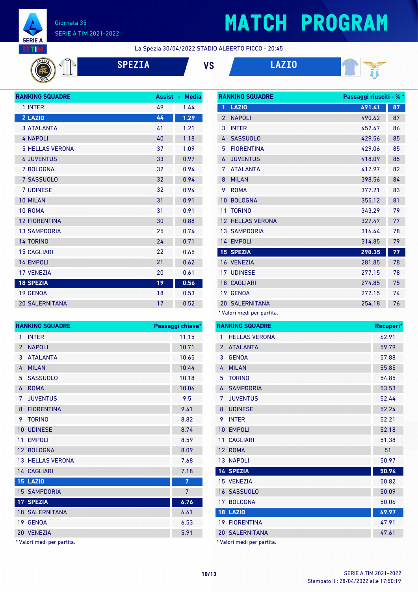

# **MATCH PROGRAM**

La Spezia 30/04/2022 STADIO ALBERTO PICCO - 20:45



**SPEZIA VS LAZIO**



| <b>RANKING SQUADRE</b> | <b>Assist</b> | <b>Media</b><br>٠ |
|------------------------|---------------|-------------------|
| 1 INTER                | 49            | 1.44              |
| 2 LAZIO                | 44            | 1.29              |
| <b>3 ATALANTA</b>      | 41            | 1.21              |
| <b>4 NAPOLI</b>        | 40            | 1.18              |
| <b>5 HELLAS VERONA</b> | 37            | 1.09              |
| <b>6 JUVENTUS</b>      | 33            | 0.97              |
| 7 BOLOGNA              | 32            | 0.94              |
| 7 SASSUOLO             | 32            | 0.94              |
| <b>7 UDINESE</b>       | 32            | 0.94              |
| 10 MILAN               | 31            | 0.91              |
| 10 ROMA                | 31            | 0.91              |
| <b>12 FIORENTINA</b>   | 30            | 0.88              |
| <b>13 SAMPDORIA</b>    | 25            | 0.74              |
| <b>14 TORINO</b>       | 24            | 0.71              |
| <b>15 CAGLIARI</b>     | 22            | 0.65              |
| <b>16 EMPOLI</b>       | 21            | 0.62              |
| <b>17 VENEZIA</b>      | 20            | 0.61              |
| <b>18 SPEZIA</b>       | 19            | 0.56              |
| 19 GENOA               | 18            | 0.53              |
| <b>20 SALERNITANA</b>  | 17            | 0.52              |

| <b>RANKING SQUADRE</b> |                         | Passaggi chiave* |
|------------------------|-------------------------|------------------|
| 1                      | <b>INTER</b>            | 11.15            |
| $\mathfrak{p}$         | <b>NAPOLI</b>           | 10.71            |
| 3                      | <b>ATALANTA</b>         | 10.65            |
| 4                      | <b>MILAN</b>            | 10.44            |
| 5                      | <b>SASSUOLO</b>         | 10.18            |
| 6                      | <b>ROMA</b>             | 10.06            |
| 7                      | <b>JUVENTUS</b>         | 9.5              |
| 8                      | <b>FIORENTINA</b>       | 9.41             |
| 9                      | <b>TORINO</b>           | 8.82             |
| 10                     | <b>UDINESE</b>          | 8.74             |
| 11                     | <b>EMPOLI</b>           | 8.59             |
| 12 <sup>2</sup>        | <b>BOLOGNA</b>          | 8.09             |
|                        | <b>13 HELLAS VERONA</b> | 7.68             |
|                        | 14 CAGLIARI             | 7.18             |
|                        | <b>15 LAZIO</b>         | 7                |
|                        | <b>15 SAMPDORIA</b>     | 7                |
|                        | 17 SPEZIA               | 6.76             |
|                        | <b>18 SALERNITANA</b>   | 6.61             |
| 19                     | <b>GENOA</b>            | 6.53             |
| 20 <sup>2</sup>        | <b>VENEZIA</b>          | 5.91             |

\* Valori medi per partita.

| <b>RANKING SQUADRE</b> |                                     | Passaggi riusciti - % * |    |
|------------------------|-------------------------------------|-------------------------|----|
| 1                      | <b>LAZIO</b>                        | 491.41                  | 87 |
| $\overline{2}$         | <b>NAPOLI</b>                       | 490.62                  | 87 |
| 3                      | <b>INTER</b>                        | 452.47                  | 86 |
| 4                      | <b>SASSUOLO</b>                     | 429.56                  | 85 |
| 5                      | <b>FIORENTINA</b>                   | 429.06                  | 85 |
| 6                      | <b>JUVENTUS</b>                     | 418.09                  | 85 |
| 7                      | <b>ATALANTA</b>                     | 417.97                  | 82 |
| 8                      | <b>MILAN</b>                        | 398.56                  | 84 |
| 9                      | <b>ROMA</b>                         | 377.21                  | 83 |
| 10                     | <b>BOLOGNA</b>                      | 355.12                  | 81 |
| 11                     | <b>TORINO</b>                       | 343.29                  | 79 |
|                        | <b>12 HELLAS VERONA</b>             | 327.47                  | 77 |
|                        | <b>13 SAMPDORIA</b>                 | 316.44                  | 78 |
|                        | 14 EMPOLI                           | 314.85                  | 79 |
|                        | <b>15 SPEZIA</b>                    | 290.35                  | 77 |
|                        | 16 VENEZIA                          | 281.85                  | 78 |
| 17 <sup>7</sup>        | <b>UDINESE</b>                      | 277.15                  | 78 |
|                        | <b>18 CAGLIARI</b>                  | 274.85                  | 75 |
| 19                     | <b>GENOA</b>                        | 272.15                  | 74 |
|                        | <b>20 SALERNITANA</b>               | 254.18                  | 76 |
|                        | $*$ <i>Malari maadi nan nastita</i> |                         |    |

Valori medi per partita.

|                 | <b>RANKING SQUADRE</b> | Recuperi* |
|-----------------|------------------------|-----------|
| 1               | <b>HELLAS VERONA</b>   | 62.91     |
| $\overline{2}$  | <b>ATALANTA</b>        | 59.79     |
| 3               | <b>GENOA</b>           | 57.88     |
| 4               | <b>MILAN</b>           | 55.85     |
| 5               | <b>TORINO</b>          | 54.85     |
| 6               | <b>SAMPDORIA</b>       | 53.53     |
| 7               | <b>JUVENTUS</b>        | 52.44     |
| 8               | <b>UDINESE</b>         | 52.24     |
| 9               | <b>INTER</b>           | 52.21     |
| 10              | <b>EMPOLI</b>          | 52.18     |
| 11              | <b>CAGLIARI</b>        | 51.38     |
| 12              | <b>ROMA</b>            | 51        |
|                 | <b>13 NAPOLI</b>       | 50.97     |
|                 | <b>14 SPEZIA</b>       | 50.94     |
|                 | 15 VENEZIA             | 50.82     |
|                 | 16 SASSUOLO            | 50.09     |
| 17 <sup>1</sup> | <b>BOLOGNA</b>         | 50.06     |
|                 | <b>18 LAZIO</b>        | 49.97     |
|                 | <b>19 FIORENTINA</b>   | 47.91     |
|                 | <b>20 SALERNITANA</b>  | 47.61     |
|                 |                        |           |

\* Valori medi per partita.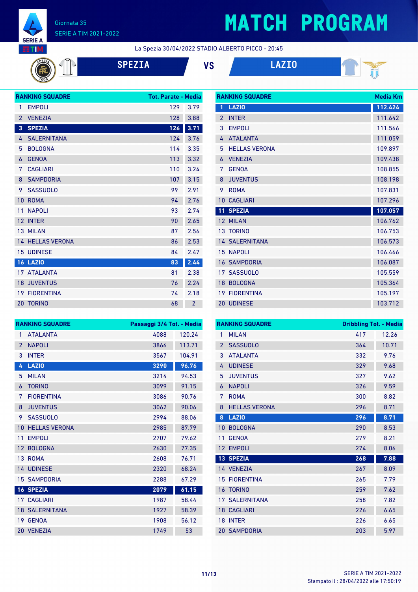

# **MATCH PROGRAM**

La Spezia 30/04/2022 STADIO ALBERTO PICCO - 20:45

**SPEZIA VS LAZIO**



|                | <b>RANKING SQUADRE</b>  | <b>Tot. Parate - Media</b> |                |
|----------------|-------------------------|----------------------------|----------------|
| 1              | <b>EMPOLI</b>           | 129                        | 3.79           |
| $\overline{2}$ | <b>VENEZIA</b>          | 128                        | 3.88           |
| 3              | <b>SPEZIA</b>           | 126                        | 3.71           |
| 4              | <b>SALERNITANA</b>      | 124                        | 3.76           |
| 5              | <b>BOLOGNA</b>          | 114                        | 3.35           |
| 6              | <b>GENOA</b>            | 113                        | 3.32           |
| 7              | <b>CAGLIARI</b>         | 110                        | 3.24           |
| 8              | <b>SAMPDORIA</b>        | 107                        | 3.15           |
| 9              | <b>SASSUOLO</b>         | 99                         | 2.91           |
| 10             | <b>ROMA</b>             | 94                         | 2.76           |
| 11             | <b>NAPOLI</b>           | 93                         | 2.74           |
| 12             | <b>INTER</b>            | 90                         | 2.65           |
|                | 13 MILAN                | 87                         | 2.56           |
|                | <b>14 HELLAS VERONA</b> | 86                         | 2.53           |
| 15             | <b>UDINESE</b>          | 84                         | 2.47           |
|                | <b>16 LAZIO</b>         | 83                         | 2.44           |
|                | 17 ATALANTA             | 81                         | 2.38           |
| 18             | <b>JUVENTUS</b>         | 76                         | 2.24           |
| 19             | <b>FIORENTINA</b>       | 74                         | 2.18           |
|                | <b>20 TORINO</b>        | 68                         | $\overline{2}$ |

| <b>RANKING SQUADRE</b> | Media Km              |         |
|------------------------|-----------------------|---------|
| 1                      | <b>LAZIO</b>          | 112.424 |
| $\overline{2}$         | <b>INTER</b>          | 111.642 |
| 3                      | <b>EMPOLI</b>         | 111.566 |
| 4                      | <b>ATALANTA</b>       | 111.059 |
| 5                      | <b>HELLAS VERONA</b>  | 109.897 |
| 6                      | <b>VENEZIA</b>        | 109.438 |
| 7                      | <b>GENOA</b>          | 108.855 |
| 8                      | <b>JUVENTUS</b>       | 108.198 |
| 9                      | <b>ROMA</b>           | 107.831 |
| 10                     | <b>CAGLIARI</b>       | 107.296 |
| 11                     | <b>SPEZIA</b>         | 107.057 |
| 12 <sup>2</sup>        | <b>MILAN</b>          | 106.762 |
|                        | <b>13 TORINO</b>      | 106.753 |
|                        | <b>14 SALERNITANA</b> | 106.573 |
| 15                     | <b>NAPOLI</b>         | 106.466 |
| 16                     | <b>SAMPDORIA</b>      | 106.087 |
| 17 <sup>1</sup>        | <b>SASSUOLO</b>       | 105.559 |
| 18                     | <b>BOLOGNA</b>        | 105.364 |
| 19                     | <b>FIORENTINA</b>     | 105.197 |
|                        | 20 UDINESE            | 103.712 |

|                 | <b>RANKING SQUADRE</b> | Passaggi 3/4 Tot. - Media |        |
|-----------------|------------------------|---------------------------|--------|
| 1               | <b>ATALANTA</b>        | 4088                      | 120.24 |
| $\overline{2}$  | <b>NAPOLI</b>          | 3866                      | 113.71 |
| 3               | <b>INTER</b>           | 3567                      | 104.91 |
| 4               | <b>LAZIO</b>           | 3290                      | 96.76  |
| 5               | <b>MILAN</b>           | 3214                      | 94.53  |
| 6               | <b>TORINO</b>          | 3099                      | 91.15  |
| 7               | <b>FIORFNTINA</b>      | 3086                      | 90.76  |
| 8               | <b>JUVENTUS</b>        | 3062                      | 90.06  |
| 9               | <b>SASSUOLO</b>        | 2994                      | 88.06  |
| 10              | <b>HELLAS VERONA</b>   | 2985                      | 87.79  |
| 11              | <b>EMPOLI</b>          | 2707                      | 79.62  |
| 12              | <b>BOLOGNA</b>         | 2630                      | 77.35  |
|                 | 13 ROMA                | 2608                      | 76.71  |
|                 | 14 UDINESE             | 2320                      | 68.24  |
| 15              | <b>SAMPDORIA</b>       | 2288                      | 67.29  |
|                 | <b>16 SPEZIA</b>       | 2079                      | 61.15  |
|                 | <b>17 CAGLIARI</b>     | 1987                      | 58.44  |
| 18 <sup>°</sup> | <b>SALERNITANA</b>     | 1927                      | 58.39  |
| 19              | <b>GENOA</b>           | 1908                      | 56.12  |
|                 | 20 VENEZIA             | 1749                      | 53     |

|                | <b>RANKING SQUADRE</b> | <b>Dribbling Tot. - Media</b> |       |
|----------------|------------------------|-------------------------------|-------|
| 1              | <b>MILAN</b>           | 417                           | 12.26 |
| $\overline{2}$ | <b>SASSUOLO</b>        | 364                           | 10.71 |
| 3              | <b>ATAI ANTA</b>       | 332                           | 9.76  |
| 4              | <b>UDINESE</b>         | 329                           | 9.68  |
| 5              | <b>JUVENTUS</b>        | 327                           | 9.62  |
| 6              | <b>NAPOLI</b>          | 326                           | 9.59  |
| 7              | <b>ROMA</b>            | 300                           | 8.82  |
| 8              | <b>HELLAS VERONA</b>   | 296                           | 8.71  |
| 8              | <b>LAZIO</b>           | 296                           | 8.71  |
| 10             | <b>BOLOGNA</b>         | 290                           | 8.53  |
| 11             | <b>GENOA</b>           | 279                           | 8.21  |
| 12             | <b>EMPOLI</b>          | 274                           | 8.06  |
|                | 13 SPEZIA              | 268                           | 7.88  |
|                | 14 VENEZIA             | 267                           | 8.09  |
| 15             | <b>FIORENTINA</b>      | 265                           | 7.79  |
| 16             | <b>TORINO</b>          | 259                           | 7.62  |
| 17             | <b>SALERNITANA</b>     | 258                           | 7.82  |
|                | <b>18 CAGLIARI</b>     | 226                           | 6.65  |
| 18             | <b>INTER</b>           | 226                           | 6.65  |
|                | <b>20 SAMPDORIA</b>    | 203                           | 5.97  |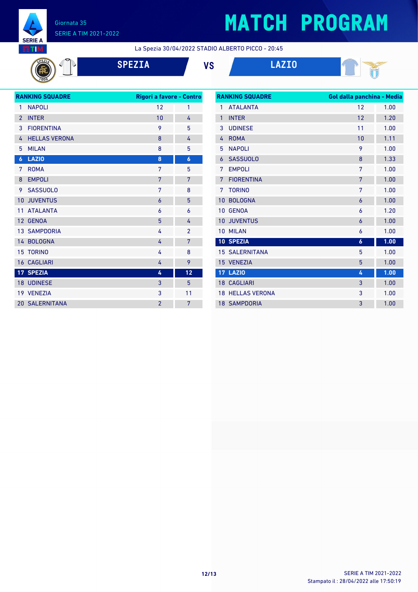

 $\sqrt{2}$ 

# **MATCH PROGRAM**

La Spezia 30/04/2022 STADIO ALBERTO PICCO - 20:45

|  | SPE |
|--|-----|
|  |     |





| <b>RANKING SQUADRE</b> |                       | Rigori a favore - Contro |                  |
|------------------------|-----------------------|--------------------------|------------------|
| 1                      | <b>NAPOLI</b>         | 12                       | 1                |
| $\overline{2}$         | <b>INTER</b>          | 10                       | 4                |
| 3                      | <b>FIORENTINA</b>     | 9                        | 5                |
| 4                      | <b>HELLAS VERONA</b>  | 8                        | 4                |
| 5                      | <b>MILAN</b>          | 8                        | 5                |
| $\boldsymbol{6}$       | <b>LAZIO</b>          | 8                        | $\boldsymbol{6}$ |
| 7                      | <b>ROMA</b>           | 7                        | 5                |
| 8                      | <b>EMPOLI</b>         | 7                        | 7                |
| 9                      | <b>SASSUOLO</b>       | 7                        | 8                |
| 10                     | <b>JUVENTUS</b>       | 6                        | 5                |
| 11                     | <b>ATALANTA</b>       | 6                        | 6                |
|                        | 12 GENOA              | 5                        | 4                |
|                        | <b>13 SAMPDORIA</b>   | 4                        | $\overline{2}$   |
|                        | 14 BOLOGNA            | 4                        | 7                |
|                        | <b>15 TORINO</b>      | 4                        | 8                |
|                        | <b>16 CAGLIARI</b>    | 4                        | 9                |
|                        | 17 SPEZIA             | 4                        | 12               |
|                        | 18 UDINESE            | 3                        | 5                |
|                        | 19 VENEZIA            | 3                        | 11               |
|                        | <b>20 SALERNITANA</b> | $\overline{2}$           | 7                |
|                        |                       |                          |                  |

| <b>RANKING SQUADRE</b> |                         | Gol dalla panchina - Media |      |  |
|------------------------|-------------------------|----------------------------|------|--|
| 1                      | <b>ATAI ANTA</b>        | 12                         | 1.00 |  |
| $\mathbf{1}$           | <b>INTER</b>            | 12                         | 1.20 |  |
| 3                      | <b>UDINESE</b>          | 11                         | 1.00 |  |
| 4                      | <b>ROMA</b>             | 10                         | 1.11 |  |
| 5                      | <b>NAPOLI</b>           | 9                          | 1.00 |  |
| 6                      | <b>SASSUOLO</b>         | 8                          | 1.33 |  |
| 7                      | <b>EMPOLI</b>           | 7                          | 1.00 |  |
| 7                      | <b>FIORENTINA</b>       | 7                          | 1.00 |  |
| 7                      | <b>TORINO</b>           | 7                          | 1.00 |  |
| 10                     | <b>BOLOGNA</b>          | 6                          | 1.00 |  |
| 10 <sup>1</sup>        | <b>GENOA</b>            | 6                          | 1.20 |  |
| 10                     | <b>JUVENTUS</b>         | 6                          | 1.00 |  |
| 10                     | <b>MILAN</b>            | 6                          | 1.00 |  |
|                        | 10 SPEZIA               | $\boldsymbol{6}$           | 1.00 |  |
|                        | <b>15 SALERNITANA</b>   | 5                          | 1.00 |  |
|                        | 15 VENEZIA              | 5                          | 1.00 |  |
| 17                     | <b>LAZIO</b>            | 4                          | 1.00 |  |
| 18 <sup>1</sup>        | <b>CAGLIARI</b>         | 3                          | 1.00 |  |
|                        | <b>18 HELLAS VERONA</b> | 3                          | 1.00 |  |
|                        | <b>18 SAMPDORIA</b>     | 3                          | 1.00 |  |